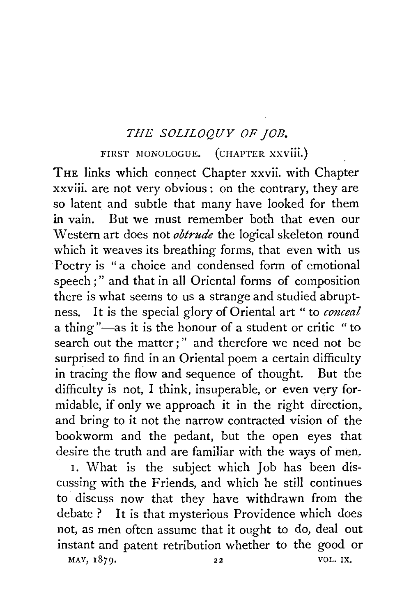## *THE SOLILOQUY OF JOB.*

## FIRST MONOLOGUE. (CHAPTER XXVIII.)

THE links which connect Chapter xxvii. with Chapter xxviii. are not very obvious : on the contrary, they are so latent and subtle that many have looked for them in vain. But we must remember both that even our Western art does not *obtrude* the logical skeleton round which it weaves its breathing forms, that even with us Poetry is "a choice and condensed form of emotional speech ; " and that in all Oriental forms of composition there is what seems to us a strange and studied abruptness. It is the special glory of Oriental art " to *conceal*  a thing"-as it is the honour of a student or critic "to search out the matter; " and therefore we need not be surprised to find in an Oriental poem a certain difficulty in tracing the flow and sequence of thought. But the difficulty is not, I think, insuperable, or even very formidable, if only we approach it in the right direction,. and bring to it not the narrow contracted vision of the bookworm and the pedant, but the open eyes that desire the truth and are familiar with the ways of men.

I. What is the subject which Job has been discussing with the Friends, and which he still continues to discuss now that they have withdrawn from the debate ? It is that mysterious Providence which does not, as men often assume that it ought to do, deal out instant and patent retribution whether to the good or

MAY, 1879. 22 VOL. IX.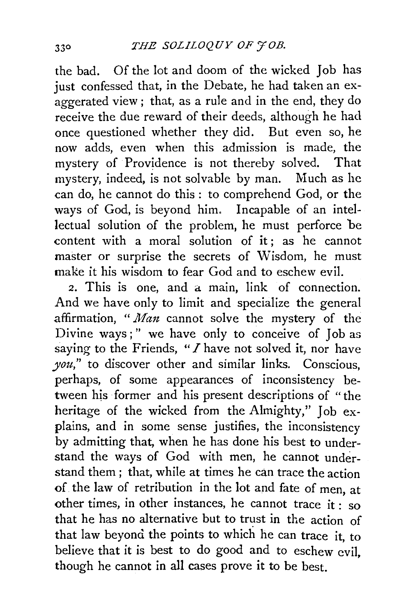the bad. Of the lot and doom of the wicked Job has just confessed that, in the Debate, he had taken an exaggerated view; that, as a rule and in the end, they do receive the due reward of their deeds, although he had once questioned whether they did. But even so, he now adds, even when this admission is made, the mystery of Providence is not thereby solved. That mystery, indeed, is not solvable by man. Much as he can do, he cannot do this: to comprehend God, or the ways of God, is beyond him. Incapable of an intellectual solution of the problem, he must perforce be content with a moral solution of it; as he cannot master or surprise the secrets of Wisdom, he must make it his wisdom to fear God and to eschew evil.

2. This is one, and a main, link of connection. And we have only to limit and specialize the general affirmation, *"Man* cannot solve the mystery of the Divine ways;" we have only to conceive of Job as saying to the Friends, *"I* have not solved it, nor have *you,"* to discover other and similar links. Conscious, perhaps, of some appearances of inconsistency between his former and his present descriptions of "the heritage of the wicked from the Almighty," Job explains, and in some sense justifies, the inconsistency by admitting that, when he has done his best to understand the ways of God with men, he cannot understand them ; that, while at times he can trace the action of the law of retribution in the lot and fate of men, at other times, in other instances, he cannot trace it : so that he has no alternative but to trust in the action of that law beyond the points to which he can trace it, to believe that it is best to do good and to eschew evil, though he cannot in all cases prove it to be best.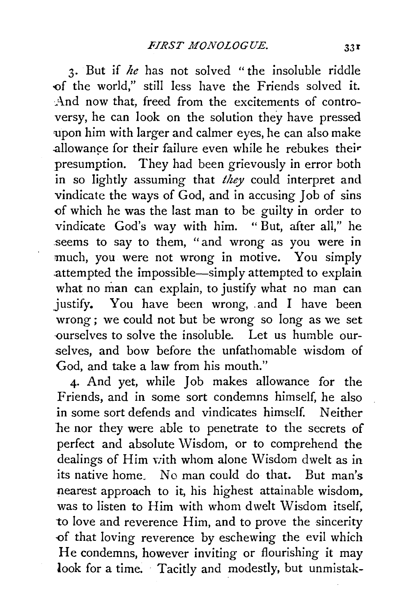3· But if *he* has not solved "the insoluble riddle of the world," still less have the Friends solved it. And now that, freed from the excitements of controversy, he can look on the solution they have pressed upon him with larger and calmer eyes, he can also make allowance for their failure even while he rebukes their presumption. They had been grievously in error both in so lightly assuming that *they* could interpret and vindicate the ways of God, and in accusing Job of sins of which he was the last man to be guilty in order to vindicate God's way with him. "But, after all," he seems to say to them, "and wrong as you were in much, you were not wrong in motive. You simply .attempted the impossible-simply attempted to explain what no man can explain, to justify what no man can justify. You have been wrong, and I have been wrong ; we could not but be wrong so long as we set ourselves to solve the insoluble. Let us humble ourselves, and bow before the unfathomable wisdom of God, and take a law from his mouth."

4· And yet, while Job makes allowance for the Friends, and in some sort condemns himself, he also in some sort defends and vindicates himself. Neither be nor they were able to penetrate to the secrets of perfect and absolute Wisdom, or to comprehend the dealings of Him vith whom alone Wisdom dwelt as in its native home. No man could do that. But man's nearest approach to it, his highest attainable wisdom, was to listen to Him with whom dwelt Wisdom itself, to love and reverence Him, and to prove the sincerity -of that loving reverence by eschewing the evil which He condemns, however inviting or flourishing it may look for a time. Tacitly and modestly, but unmistak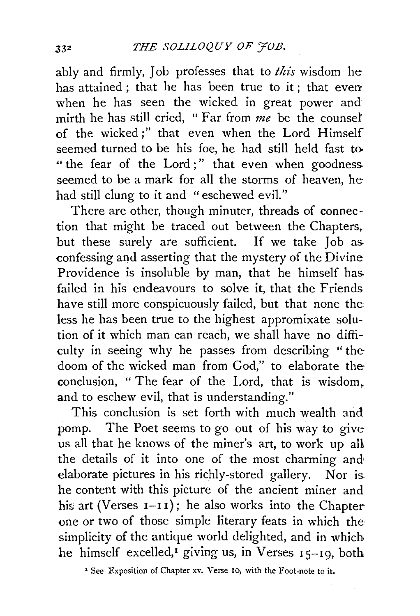ably and firmly, Job professes that to *this* wisdom he has attained ; that he has been true to it ; that even when he has seen the wicked in great power and mirth he has still cried, " Far from *me* be the counsel of the wicked;" that even when the Lord Himself seemed turned to be his foe, he had still held fast to- " the fear of the Lord;" that even when goodness seemed to be a mark for all the storms of heaven, he had still clung to it and "eschewed evil."

There are other, though minuter, threads of connection that might be traced out between the Chapters. but these surely are sufficient. If we take Job as. confessing and asserting that the mystery of the Divine Providence is insoluble by man, that he himself has. failed in his endeavours to solve it, that the Friends have still more conspicuously failed, but that none the less he has been true to the highest appromixate solution of it which man can reach, we shall have no difficulty in seeing why he passes from describing "thedoom of the wicked man from God," to elaborate the conclusion, " The fear of the Lord, that is wisdom,. and to eschew evil, that is understanding."

This conclusion is set forth with much wealth and pomp. The Poet seems to go out of his way to give us all that he knows of the miner's art, to work up all the details of it into one of the most charming and elaborate pictures in his richly-stored gallery. Nor is he content with this picture of the ancient miner and his art (Verses  $I-I I$ ); he also works into the Chapter one or two of those simple literary feats in which the simplicity of the antique world delighted, and in which he himself excelled,<sup> $I$ </sup> giving us, in Verses  $I_5-I_9$ , both

<sup>&#</sup>x27; See Exposition of Chapter xv. Verse ro, with the Foot-note to it.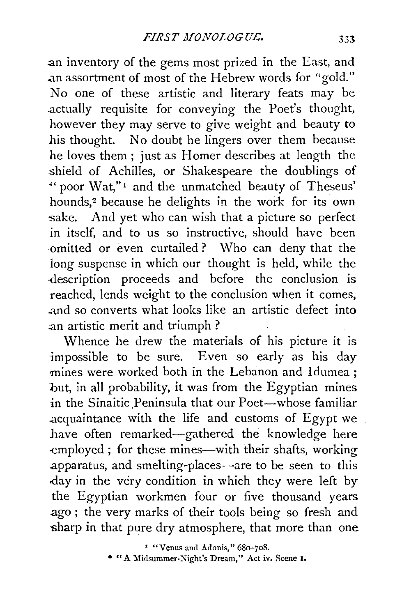.an inventory of the gems most prized in the East, and .an assortment of most of the Hebrew words for "gold." No one of these artistic and literary feats may be .actually requisite for conveying the Poet's thought, however they may serve to give weight and beauty to his thought. No doubt he lingers over them because he loves them ; just as Homer describes at length the shield of Achilles, or Shakespeare the doublings of "'' poor Wat," 1 and the unmatched beauty of Theseus' hounds,<sup>2</sup> because he delights in the work for its own sake. And yet who can wish that a picture so perfect in itself, and to us so instructive, should have been -omitted or even curtailed ? Who can deny that the long suspense in which our thought is held, while the -description proceeds and before the conclusion is reached, lends weight to the conclusion when it comes, .and so converts what looks like an artistic defect into .an artistic merit and triumph ?

Whence he drew the materials of his picture it is impossible to be sure. Even so early as his day mines were worked both in the Lebanon and Idumea ; but, in all probability, it was from the Egyptian mines in the Sinaitic Peninsula that our Poet-whose familiar .acquaintance with the life and customs of Egypt we have often remarked-gathered the knowledge here -employed; for these mines-with their shafts, working apparatus, and smelting-places-are to be seen to this .day in the very condition in which they were left by the Egyptian workmen four or five thousand years ago ; the very marks of their tools being so fresh and sharp in that pure dry atmosphere, that more than one

<sup>&#</sup>x27; "Venus and Adonis," 68o-7oS.

<sup>• &</sup>quot;A Midsummer-Night's Dream," Act iv. Scene 1.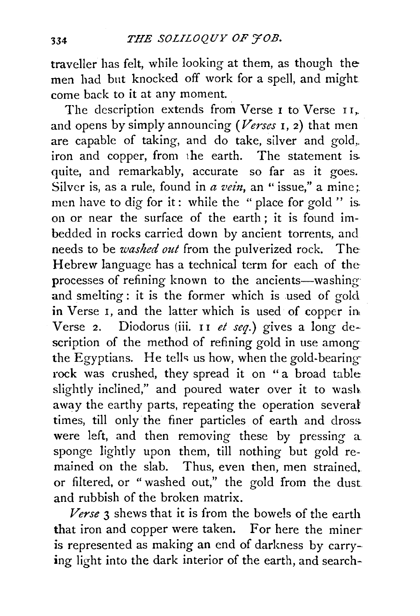traveller has felt, while looking at them, as though the men had but knocked off work for a spell, and might come back to it at any moment.

The description extends from Verse 1 to Verse II, and opens by simply announcing *(Verses* I, 2) that men are capable of taking, and do take, silver and gold,. iron and copper, from 1he earth. The statement is. quite, and remarkably, accurate so far as it goes. Silver is, as a rule, found in  $\alpha$  vein, an " issue," a mine; men have to dig for it: while the " place for gold " is. on or near the surface of the earth ; it is found imbedded in rocks carried down by ancient torrents, and needs to be *washed out* from the pulverized rock. The· Hebrew language has a technical term for each of the processes of refining known to the ancients-washing and smelting: it is the former which is used of gold in Verse I, and the latter which is used of copper in, Verse 2. Diodorus (iii. II et seq.) gives a long description of the method of refining gold in use among the Egyptians. He tells us how, when the gold-bearingrock was crushed, they spread it on " a broad table slightly inclined," and poured water over it to wash away the earthy parts, repeating the operation several times, till only the finer particles of earth and dross. were left, and then removing these by pressing a sponge lightly upon them, till nothing but gold remained on the slab. Thus, even then, men strained, or filtered, or " washed out," the gold from the dust and rubbish of the broken matrix.

*Verse* 3 shews that ic is from the bowels of the earth that iron and copper were taken. For here the miner is represented as making an end of darkness by carrying light into the dark interior of the earth, and search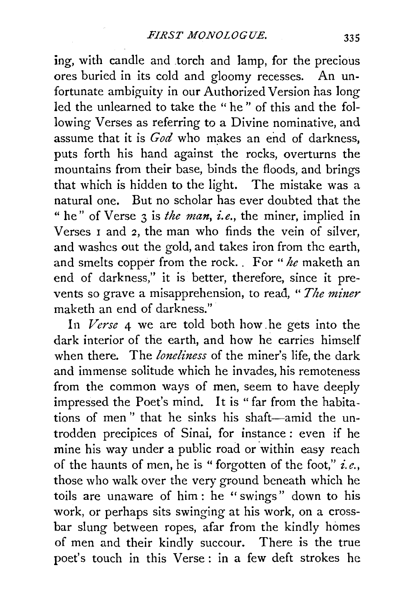ing, with candle and .torch and lamp, for the precious ores buried in its cold and gloomy recesses. An unfortunate ambiguity in our Authorized Version has long led the unlearned to take the " he " of this and the following Verses as referring to a Divine nominative, and assume that it is *God* who makes an end of darkness, puts forth his hand against the rocks, overturns the mountains from their base, binds the floods, and brings that which is hidden to the light. The mistake was a natural one. But no scholar has ever doubted that the " he" of Verse 3 is *the man, i.e.*, the miner, implied in Verses 1 and 2, the man who finds the vein of silver, and washes out the gold, and takes iron from the earth, and smelts copper from the rock. . For " *he* maketh an end of darkness," it is better, therefore, since it prevents so grave a misapprehension, to read, "The miner maketh an end of darkness."

In *Verse* 4 we are told both how .he gets into the dark interior of the earth, and how he carries himself when there. The *loneliness* of the miner's life, the dark and immense solitude which he invades, his remoteness from the common ways of men, seem to have deeply impressed the Poet's mind. It is "far from the habitations of men" that he sinks his shaft-amid the untrodden precipices of Sinai, for instance : even if he mine his way under a public road or within easy reach of the haunts of men, he is "forgotten of the foot," *i.e.,*  those who walk over the very ground beneath which he toils are unaware of him : he " swings" down to his work, or perhaps sits swinging at his work, on a crossbar slung between ropes, afar from the kindly homes of men and their kindly succour. There is the true poet's touch in this Verse : in a few deft strokes he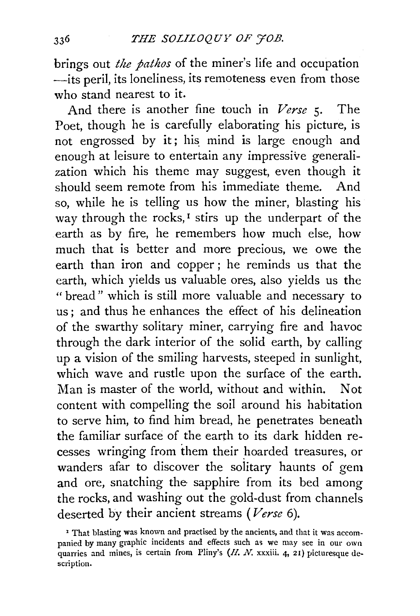brings out *the pathos* of the miner's life and occupation -its peril, its loneliness, its remoteness even from those who stand nearest to it.

And there is another fine touch in *Verse* 5· The Poet, though he is carefully elaborating his picture, is not engrossed by it; his mind is large enough and enough at leisure to entertain any impressive generalization which his theme may suggest, even though it should seem remote from his immediate theme. And so, while he is telling us how the miner, blasting his way through the rocks,<sup>1</sup> stirs up the underpart of the earth as by fire, he remembers how much else, how much that is better and more precious, we owe the earth than iron and copper; he reminds us that the earth, which yields us valuable ores, also yields us the "bread" which is still more valuable and necessary to us ; and thus he enhances the effect of his delineation of the swarthy solitary miner, carrying fire and havoc through the dark interior of the solid earth, by calling up a vision of the smiling harvests, steeped in sunlight, which wave and rustle upon the surface of the earth. Man is master of the world, without and within. Not content with compelling the soil around his habitation to serve him, to find him bread, he penetrates beneath the familiar surface of the earth to its dark hidden recesses wringing from them their hoarded treasures, or wanders afar to discover the solitary haunts of gem and ore, snatching the sapphire from its bed among the rocks, and washing out the gold-dust from channels deserted by their ancient streams *(Verse* 6).

<sup>&#</sup>x27; That blasting was known and practised by the ancients, and that it was accompanied by many graphic incidents and effects such as we may see in our own quarries and mines, is certain from Pliny's (H. N. xxxiii. 4, 21) picturesque description.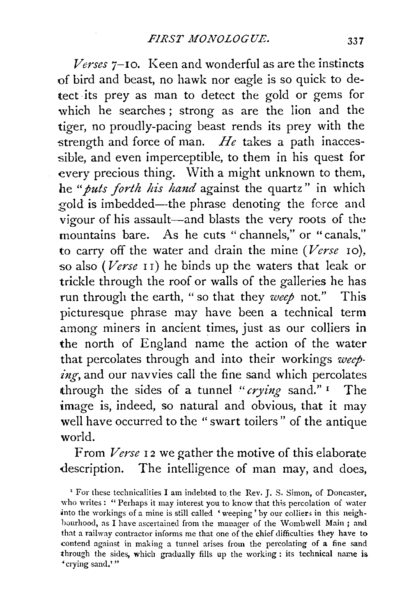*Verses* 7-10. Keen and wonderful as are the instincts of bird and beast, no hawk nor eagle is so quick to detect its prey as man to detect the gold or gems for which he searches; strong as are the lion and the tiger, no proudly-pacing beast rends its prey with the strength and force of man. *He* takes a path inaccessible, and even imperceptible, to them in his quest for every precious thing. With a might unknown to them, he "*puts forth his hand* against the quartz" in which gold is imbedded--the phrase denoting the force and vigour of his assault-and blasts the very roots of the mountains bare. As he cuts " channels," or "canals," to carry off the water and drain the mine *(Verse* 10), -so also *(Verse* 1 I) he binds up the waters that leak or trickle through the roof or walls of the galleries he has run through the earth, " so that they *weep* not." This picturesque phrase may have been a technical term among miners in ancient times, just as our colliers in the north of England name the action of the water that percolates through and into their workings *weeping,* and our navvies call the fine sand which percolates through the sides of a tunnel *"crying* sand." 1 The image is, indeed, so natural and obvious, that it may well have occurred to the "swart toilers" of the antique world.

From *Verse* 12 we gather the motive of this elaborate description. The intelligence of man may, and does,

<sup>&#</sup>x27; For these technicalities I am indebted to the Rev. J. S. Simon, of Doncastet·, who writes: "Perhaps it may interest you to know that this percolation of water into the workings of a mine is still called 'weeping' by our colliers in this neighbourhood, as I have ascertained from the manager of the Wombwell Main; and that a railway contractor informs me that one of the chief difficulties they have to contend against in making a tunnel arises from the percolating of a fine sand through the sides, which gradually fills up the working : its technical name is • crying sand.' "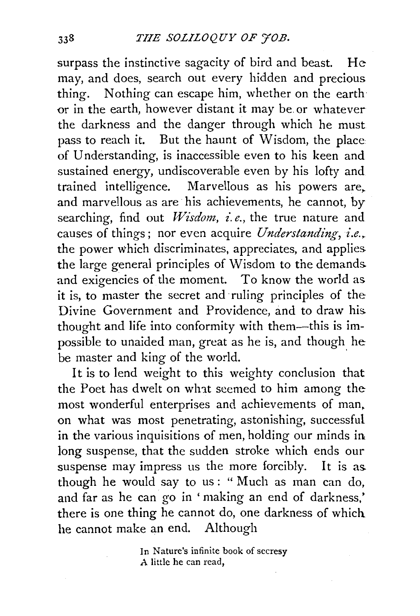surpass the instinctive sagacity of bird and beast. He may, and does, search out every hidden and precious thing. Nothing can escape him, whether on the earth or in the earth, however distant it may be or whatever the darkness and the danger through which he must pass to reach it. But the haunt of Wisdom, the place of Understanding, is inaccessible even to his keen and sustained energy, undiscoverable even by his lofty and trained intelligence. Marvellous as his powers are, and marvellous as are his achievements, he cannot, by searching, find out *Wisdom, i.e.,* the true nature and causes of things; nor even acquire *Understanding*, i.e., the power which discriminates, appreciates, and applies the large general principles of Wisdom to the demands and exigencies of the moment. To know the world as it is, to master the secret and ruling principles of the Divine Government and Providence, and to draw his thought and life into conformity with them-this is impossible to unaided man, great as he is, and though he be master and king of the world.

It is to lend weight to this weighty conclusion that the Poet has dwelt on wlnt seemed to him among the most wonderful enterprises and achievements of man. on what was most penetrating, astonishing, successful in the various inquisitions of men, holding our minds in long suspense, that the sudden stroke which ends our suspense may impress us the more forcibly. It is as though he would say to us: "Much as man can do, and far as he can go in 'making an end of darkness,' there is one thing he cannot do, one darkness of which. he cannot make an end. Although

> In Nature's infinite book of secresy *A* little he can read,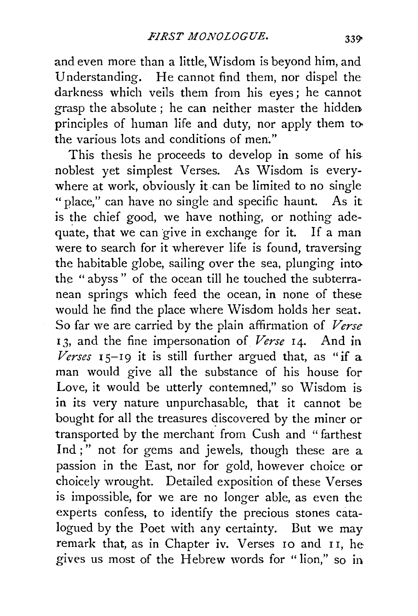and even more than a little, Wisdom is beyond him, and Understanding. He cannot find them, nor dispel the darkness which veils them from his eyes ; he cannot grasp the absolute ; he can neither master the hidden. principles of human life and duty, nor apply them tothe various lots and conditions of men."

This thesis he proceeds to develop in some of hisnoblest yet simplest Verses. As Wisdom is everywhere at work, obviously it can be limited to no single " place," can have no single and specific haunt. As it is the chief good, we have nothing, or nothing adequate, that we can give in exchange for it. If a man were to search for it wherever life is found, traversing the habitable globe, sailing over the sea, plunging into the " abyss " of the ocean till he touched the subterranean springs which feed the ocean, in none of these would he find the place where Wisdom holds her seat. So far we are carried by the plain affirmation of *Verse*  <sup>I</sup>*3,* and the fine impersonation of *Verse* 14. And in  $Verses$   $15-19$  it is still further argued that, as "if a man would give all the substance of his house for Love, it would be utterly contemned," so Wisdom is in its very nature unpurchasable, that it cannot be bought for all the treasures discovered by the miner or transported by the merchant from Cush and "farthest Ind ;" not for gems and jewels, though these are a passion in the East, nor for gold, however choice or choicely wrought. Detailed exposition of these Verses is impossible, for we are no longer able, as even the experts confess, to identify the precious stones catalogued by the Poet with any certainty. But we may remark that, as in Chapter iv. Verses 10 and I I, he gives us most of the Hebrew words for " lion," so in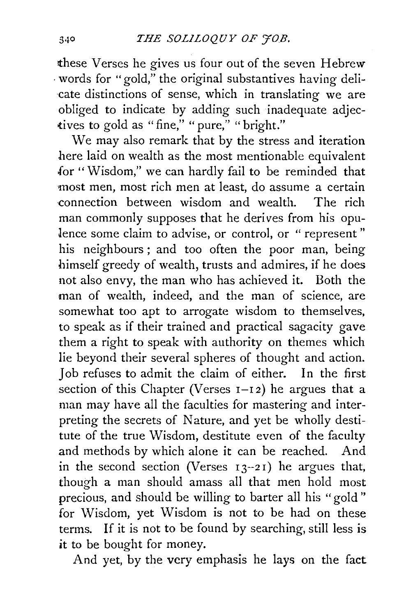these Verses he gives us four out of the seven Hebrew  $\cdot$  words for "gold," the original substantives having delicate distinctions of sense, which in translating we are obliged to indicate by adding such inadequate adjectives to gold as "fine," "pure," "bright."

We may also remark that by the stress and iteration here laid on wealth as the most mentionable equivalent .for "Wisdom," we can hardly fail to be reminded that most men, most rich men at least, do assume a certain ·connection between wisdom and wealth. The rich man commonly supposes that he derives from his opulence some claim to advise, or control, or " represent" his neighbours ; and too often the poor man, being himself greedy of wealth, trusts and admires, if he does not also envy, the man who has achieved it. Both the man of wealth, indeed, and the man of science, are somewhat too apt to arrogate wisdom to themselves, to speak as if their trained and practical sagacity gave them a right to speak with authority on themes which lie beyond their several spheres of thought and action. Job refuses to admit the claim of either. In the first section of this Chapter (Verses  $I-I2$ ) he argues that a man may have all the faculties for mastering and interpreting the secrets of Nature, and yet be wholly destitute of the true Wisdom, destitute even of the faculty and methods by which alone it can be reached. And in the second section (Verses  $13-21$ ) he argues that, though a man should amass all that men hold most precious, and should be willing to barter all his "gold " for Wisdom, yet Wisdom is not to be had on these terms. If it is not to be found by searching, still less is it to be bought for money.

And yet, by the very emphasis he lays on the fact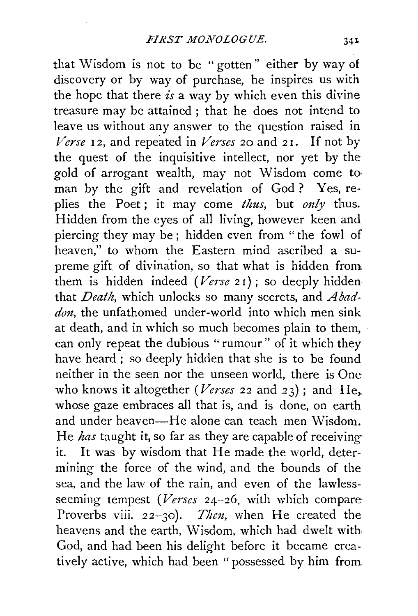that Wisdom is not to be " gotten" either by way of discovery or by way of purchase, he inspires us with the hope that there *is* a way by which even this divine treasure may be attained ; that he does not intend to leave us without any answer to the question raised in *Verse* 12, and repeated in *Verses* 20 and 21. If not by the quest of the inquisitive intellect, nor yet by the gold of arrogant wealth, may not Wisdom come to· man by the gift and revelation of God ? Yes, replies the Poet; it may come *thus*, but *only* thus. Hidden from the eyes of all living, however keen and piercing they may be ; hidden even from "the fowl of heaven," to whom the Eastern mind ascribed a supreme gift of divination, so that what is hidden from them is hidden indeed *(Verse* 2 r) ; so deeply hidden that *Death,* which unlocks so many secrets, and *A baddon,* the unfathomed under-world into which men sink at death, and in which so much becomes plain to them, can only repeat the dubious "rumour" of it which they have heard ; so deeply hidden that she is to be found neither in the seen nor the unseen world, there is One who knows it altogether *(Verses* 22 and 23); and He, whose gaze embraces all that is, and is done, on earth and under heaven-He alone can teach men Wisdom. He *has* taught it, so far as they are capable of receivingit. It was by wisdom that He made the world, determining the force of the wind, and the bounds of the sea, and the law of the rain, and even of the lawlessseeming tempest *(Verses* 24-26, with which compare-Proverbs viii.  $22-30$ . Then, when He created the heavens and the earth, Wisdom, which had dwelt with God, and had been his delight before it became creatively active, which had been "possessed by him from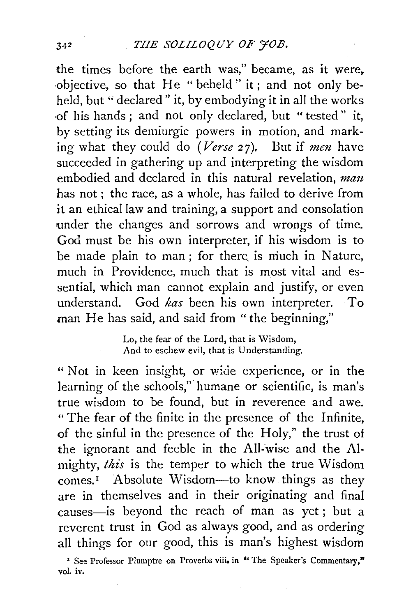the times before the earth was," became, as it were. ·objective, so that He "beheld" it; and not only beheld, but "declared" it, by embodying it in all the works {)f his hands ; and not only declared, but " tested" it, by setting its demiurgic powers in motion, and marking what they could do *(Verse 27)*. But if *men* have succeeded in gathering up and interpreting the wisdom embodied and declared in this natural revelation, man has not; the race, as a whole, has failed to derive from it an ethical law and training, a support and consolation under the changes and sorrows and wrongs of time. God must be his own interpreter, if his wisdom is to be made plain to man; for there is much in Nature, much in Providence, much that is most vital and essential, which man cannot explain and justify, or even understand. God *has* been his own interpreter. To man He has said, and said from "the beginning,"

> Lo, the fear of the Lord, that is Wisdom, And to eschew evil, that is Understanding.

" Not in keen insight, or wide experience, or in the learning of the schools," humane or scientific, is man's true wisdom to be found, but in reverence and awe. "The fear of the finite in the presence of the Infinite, of the sinful in the presence of the Holy," the trust of the ignorant and feeble in the All-wise and the Almighty, *this* is the temper to which the true \Visdom comes.I Absolute Wisdom-to know things as they are in themselves and in their originating and final causes-is beyond the reach of man as yet; but a reverent trust in God as always good, and as ordering all things for our good, this is man's highest wisdom

<sup>&</sup>lt;sup>\*</sup> See Professor Plumptre on Proverbs viii. in "The Speaker's Commentary," vol. iv.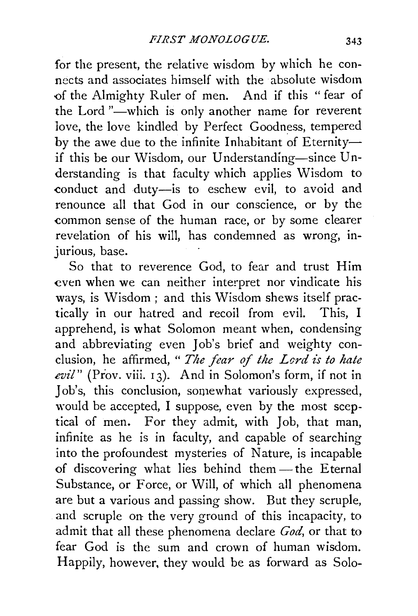for the present, the relative wisdom by which he connects and associates himself with the absolute wisdom <>f the Almighty Ruler of men. And if this " fear of the Lord "-which is only another name for reverent love, the love kindled by Perfect Goodness, tempered by the awe due to the infinite Inhabitant of Eternityif this be our Wisdom, our Understanding-since Understanding is that faculty which applies Wisdom to conduct and duty-is to eschew evil, to avoid and renounce all that God in our conscience, or by the common sense of the human race, or by some clearer revelation of his will, has condemned as wrong, mjurious, base.

So that to reverence God, to fear and trust Him even when we can neither interpret nor vindicate his ways, is Wisdom; and this Wisdom shews itself practically in our hatred and recoil from evil. This, I apprehend, is what Solomon meant when, condensing and abbreviating even Job's brief and weighty conclusion, he affirmed, " The fear of the Lord is to hate evil" (Prov. viii. 13). And in Solomon's form, if not in Job's, this conclusion, somewhat variously expressed, would be accepted, I suppose, even by the most sceptical of men. For they admit, with Job, that man, infinite as he is in faculty, and capable of searching into the profoundest mysteries of Nature, is incapable of discovering what lies behind them-the Eternal Substance, or Force, or Will, of which all phenomena are but a various and passing show. But they scruple, and scruple on the very ground of this incapacity, to admit that all these phenomena declare *God,* or that to fear God is the sum and crown of human wisdom. Happily, however, they would be as forward as Solo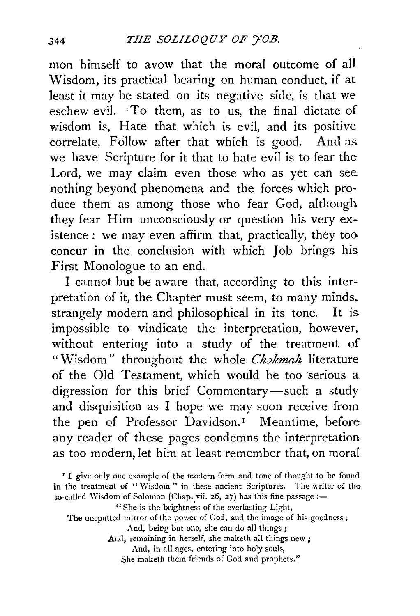mon himself to avow that the moral outcome of all Wisdom, its practical bearing on human conduct, if at least it may be stated on its negative side, is that we eschew evil. To them, as to us, the final dictate of wisdom is, Hate that which is evil, and its positive correlate, Follow after that which is good. And as. we have Scripture for it that to hate evil is to fear the Lord, we may claim even those who as yet can see nothing beyond phenomena and the forces which produce them as among those who fear God, although they fear Him unconsciously or question his very existence : we may even affirm that, practically, they too concur in the conclusion with which Job brings his. First Monologue to an end.

I cannot but be aware that, according to this interpretation of it, the Chapter must seem, to many minds, strangely modern and philosophical in its tone. It is. impossible to vindicate the interpretation, however, without entering into a study of the treatment of "Wisdom" throughout the whole *Chokmah* literature of the Old Testament, which would be too serious a digression for this brief Commentary-such a study and disquisition as I hope we may soon receive from the pen of Professor Davidson.<sup>1</sup> Meantime, before any reader of these pages condemns the interpretation as too modern, let him at least remember that, on moral

And, remaining in herself, she maketh all things new ;

And, in all ages, entering into holy souls,

She maketh them friends of God and prophets."

<sup>&#</sup>x27; I give only one example of the modern form and tone of thought to be found in the treatment of "Wisdom" in these ancient Scriptures. The writer of the  $30$ -called Wisdom of Solomon (Chap. vii. 26, 27) has this fine passage:-

<sup>&</sup>quot;She is the brightness of the everlasting Light,

The unspotted mirror of the power of God, and the image of his goodness;

And, being but one, she can do all things;